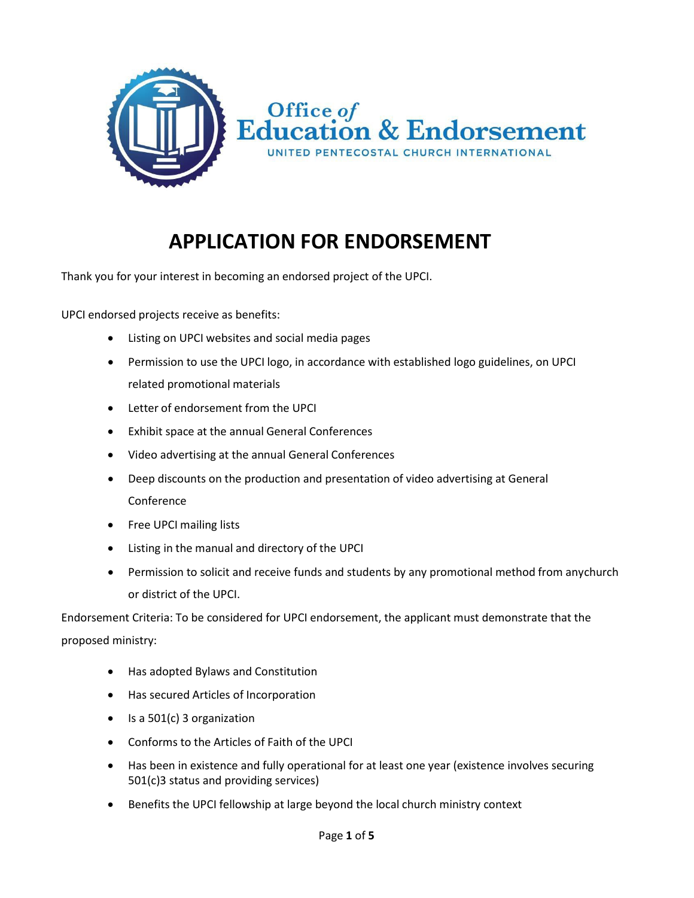

## **APPLICATION FOR ENDORSEMENT**

Thank you for your interest in becoming an endorsed project of the UPCI.

UPCI endorsed projects receive as benefits:

- Listing on UPCI websites and social media pages
- Permission to use the UPCI logo, in accordance with established logo guidelines, on UPCI related promotional materials
- Letter of endorsement from the UPCI
- Exhibit space at the annual General Conferences
- Video advertising at the annual General Conferences
- Deep discounts on the production and presentation of video advertising at General Conference
- Free UPCI mailing lists
- Listing in the manual and directory of the UPCI
- Permission to solicit and receive funds and students by any promotional method from anychurch or district of the UPCI.

Endorsement Criteria: To be considered for UPCI endorsement, the applicant must demonstrate that the proposed ministry:

- Has adopted Bylaws and Constitution
- Has secured Articles of Incorporation
- Is a 501(c) 3 organization
- Conforms to the Articles of Faith of the UPCI
- Has been in existence and fully operational for at least one year (existence involves securing 501(c)3 status and providing services)
- Benefits the UPCI fellowship at large beyond the local church ministry context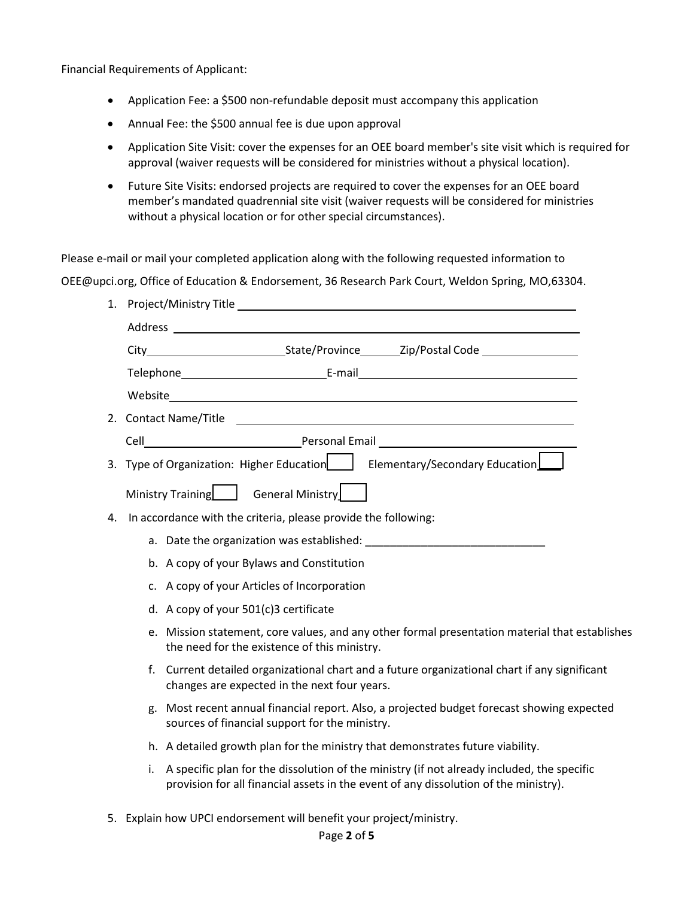Financial Requirements of Applicant:

- Application Fee: a \$500 non-refundable deposit must accompany this application
- Annual Fee: the \$500 annual fee is due upon approval
- Application Site Visit: cover the expenses for an OEE board member's site visit which is required for approval (waiver requests will be considered for ministries without a physical location).
- Future Site Visits: endorsed projects are required to cover the expenses for an OEE board member's mandated quadrennial site visit (waiver requests will be considered for ministries without a physical location or for other special circumstances).

Please e-mail or mail your completed application along with the following requested information to

[OEE@upci.org, O](mailto:OEE@upci.org)ffice of Education & Endorsement, 36 Research Park Court, Weldon Spring, MO,63304.

|                                                                                                                                                                                                                                | 3. Type of Organization: Higher Education $\Box$<br>Elementary/Secondary Education                                                                                                       |  |  |  |  |
|--------------------------------------------------------------------------------------------------------------------------------------------------------------------------------------------------------------------------------|------------------------------------------------------------------------------------------------------------------------------------------------------------------------------------------|--|--|--|--|
|                                                                                                                                                                                                                                | Ministry Training   General Ministry                                                                                                                                                     |  |  |  |  |
| In accordance with the criteria, please provide the following:<br>4.                                                                                                                                                           |                                                                                                                                                                                          |  |  |  |  |
| a. Date the organization was established: National Contractor of the contractor of the contractor of the control of the contractor of the control of the control of the control of the control of the control of the control o |                                                                                                                                                                                          |  |  |  |  |
|                                                                                                                                                                                                                                | b. A copy of your Bylaws and Constitution                                                                                                                                                |  |  |  |  |
| c. A copy of your Articles of Incorporation                                                                                                                                                                                    |                                                                                                                                                                                          |  |  |  |  |
|                                                                                                                                                                                                                                | d. A copy of your 501(c)3 certificate                                                                                                                                                    |  |  |  |  |
|                                                                                                                                                                                                                                | e. Mission statement, core values, and any other formal presentation material that establishes<br>the need for the existence of this ministry.                                           |  |  |  |  |
|                                                                                                                                                                                                                                | Current detailed organizational chart and a future organizational chart if any significant<br>f.<br>changes are expected in the next four years.                                         |  |  |  |  |
|                                                                                                                                                                                                                                | Most recent annual financial report. Also, a projected budget forecast showing expected<br>g.<br>sources of financial support for the ministry.                                          |  |  |  |  |
|                                                                                                                                                                                                                                | h. A detailed growth plan for the ministry that demonstrates future viability.                                                                                                           |  |  |  |  |
|                                                                                                                                                                                                                                | A specific plan for the dissolution of the ministry (if not already included, the specific<br>i.<br>provision for all financial assets in the event of any dissolution of the ministry). |  |  |  |  |

5. Explain how UPCI endorsement will benefit your project/ministry.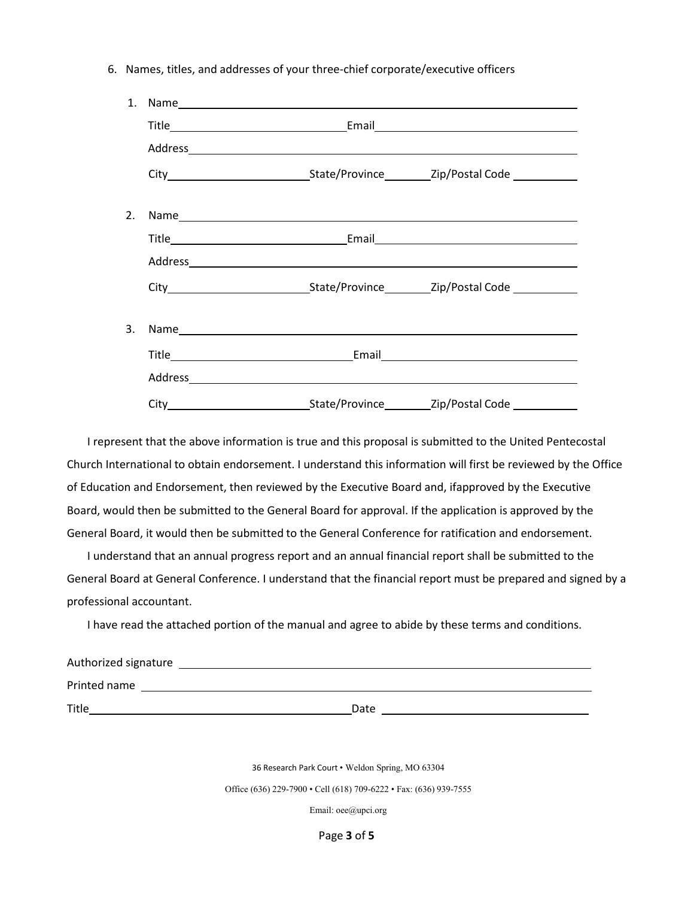6. Names, titles, and addresses of your three-chief corporate/executive officers



I represent that the above information is true and this proposal is submitted to the United Pentecostal Church International to obtain endorsement. I understand this information will first be reviewed by the Office of Education and Endorsement, then reviewed by the Executive Board and, ifapproved by the Executive Board, would then be submitted to the General Board for approval. If the application is approved by the General Board, it would then be submitted to the General Conference for ratification and endorsement.

I understand that an annual progress report and an annual financial report shall be submitted to the General Board at General Conference. I understand that the financial report must be prepared and signed by a professional accountant.

I have read the attached portion of the manual and agree to abide by these terms and conditions.

| Authorized signature |  |      |  |  |  |
|----------------------|--|------|--|--|--|
| Printed name         |  |      |  |  |  |
| Title                |  | Date |  |  |  |

36 Research Park Court • Weldon Spring, MO 63304

Office (636) 229-7900 • Cell (618) 709-6222 • Fax: (636) 939-7555

Email: [oee@upci.org](mailto:oee@upci.org)

Page **3** of **5**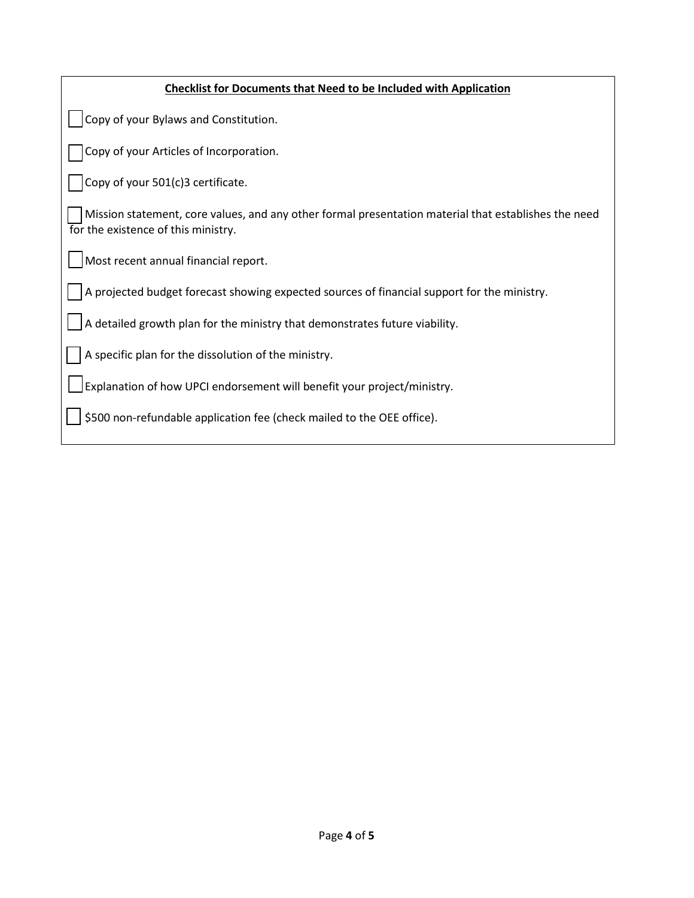| <b>Checklist for Documents that Need to be Included with Application</b>                                                                    |
|---------------------------------------------------------------------------------------------------------------------------------------------|
| Copy of your Bylaws and Constitution.                                                                                                       |
| Copy of your Articles of Incorporation.                                                                                                     |
| Copy of your 501(c)3 certificate.                                                                                                           |
| Mission statement, core values, and any other formal presentation material that establishes the need<br>for the existence of this ministry. |
| Most recent annual financial report.                                                                                                        |
| A projected budget forecast showing expected sources of financial support for the ministry.                                                 |
| A detailed growth plan for the ministry that demonstrates future viability.                                                                 |
| A specific plan for the dissolution of the ministry.                                                                                        |
| Explanation of how UPCI endorsement will benefit your project/ministry.                                                                     |
| \$500 non-refundable application fee (check mailed to the OEE office).                                                                      |
|                                                                                                                                             |